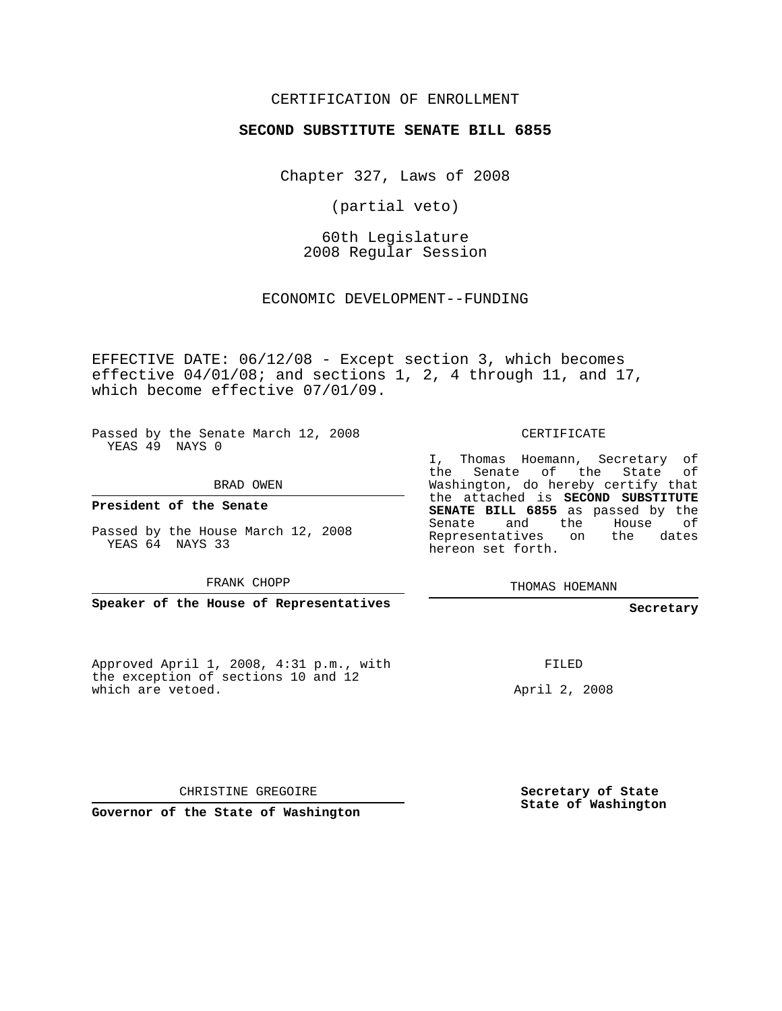## CERTIFICATION OF ENROLLMENT

### **SECOND SUBSTITUTE SENATE BILL 6855**

Chapter 327, Laws of 2008

(partial veto)

60th Legislature 2008 Regular Session

ECONOMIC DEVELOPMENT--FUNDING

EFFECTIVE DATE: 06/12/08 - Except section 3, which becomes effective 04/01/08; and sections 1, 2, 4 through 11, and 17, which become effective 07/01/09.

Passed by the Senate March 12, 2008 YEAS 49 NAYS 0

BRAD OWEN

**President of the Senate**

Passed by the House March 12, 2008 YEAS 64 NAYS 33

FRANK CHOPP

**Speaker of the House of Representatives**

Approved April 1, 2008, 4:31 p.m., with the exception of sections 10 and 12 which are vetoed.

CERTIFICATE

I, Thomas Hoemann, Secretary of the Senate of the State of Washington, do hereby certify that the attached is **SECOND SUBSTITUTE SENATE BILL 6855** as passed by the Senate and the House of Representatives on the dates hereon set forth.

THOMAS HOEMANN

**Secretary**

FILED

April 2, 2008

CHRISTINE GREGOIRE

**Governor of the State of Washington**

**Secretary of State State of Washington**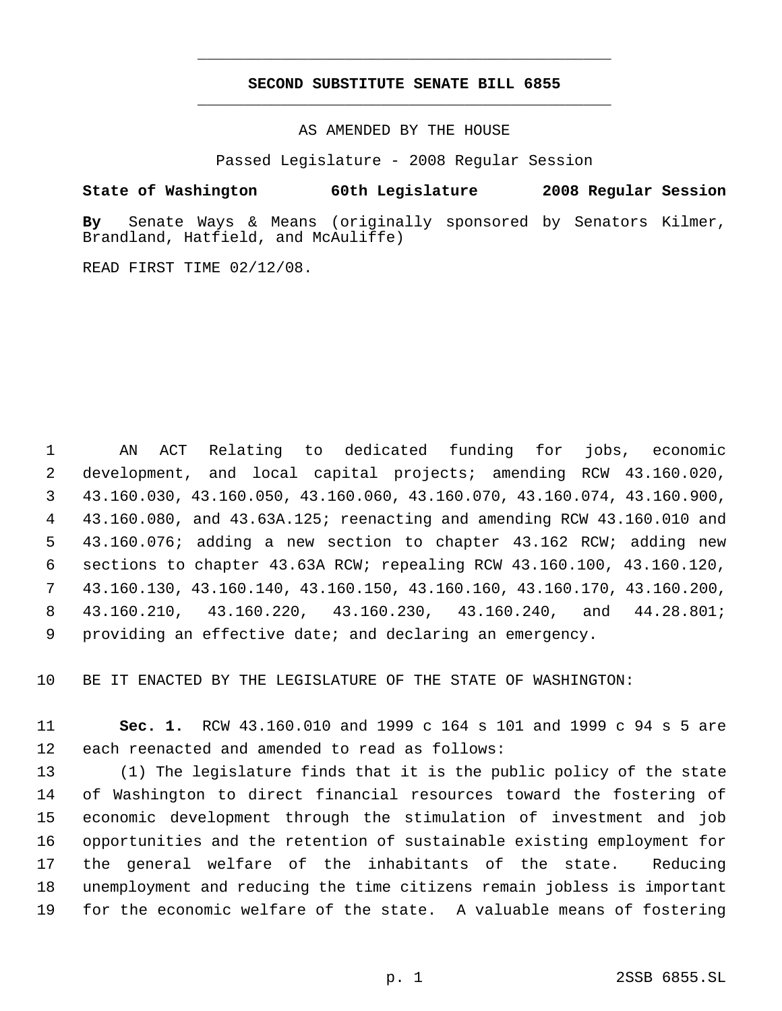## **SECOND SUBSTITUTE SENATE BILL 6855** \_\_\_\_\_\_\_\_\_\_\_\_\_\_\_\_\_\_\_\_\_\_\_\_\_\_\_\_\_\_\_\_\_\_\_\_\_\_\_\_\_\_\_\_\_

\_\_\_\_\_\_\_\_\_\_\_\_\_\_\_\_\_\_\_\_\_\_\_\_\_\_\_\_\_\_\_\_\_\_\_\_\_\_\_\_\_\_\_\_\_

AS AMENDED BY THE HOUSE

Passed Legislature - 2008 Regular Session

**State of Washington 60th Legislature 2008 Regular Session**

**By** Senate Ways & Means (originally sponsored by Senators Kilmer, Brandland, Hatfield, and McAuliffe)

READ FIRST TIME 02/12/08.

 AN ACT Relating to dedicated funding for jobs, economic development, and local capital projects; amending RCW 43.160.020, 43.160.030, 43.160.050, 43.160.060, 43.160.070, 43.160.074, 43.160.900, 43.160.080, and 43.63A.125; reenacting and amending RCW 43.160.010 and 43.160.076; adding a new section to chapter 43.162 RCW; adding new sections to chapter 43.63A RCW; repealing RCW 43.160.100, 43.160.120, 43.160.130, 43.160.140, 43.160.150, 43.160.160, 43.160.170, 43.160.200, 43.160.210, 43.160.220, 43.160.230, 43.160.240, and 44.28.801; providing an effective date; and declaring an emergency.

BE IT ENACTED BY THE LEGISLATURE OF THE STATE OF WASHINGTON:

 **Sec. 1.** RCW 43.160.010 and 1999 c 164 s 101 and 1999 c 94 s 5 are each reenacted and amended to read as follows:

 (1) The legislature finds that it is the public policy of the state of Washington to direct financial resources toward the fostering of economic development through the stimulation of investment and job opportunities and the retention of sustainable existing employment for the general welfare of the inhabitants of the state. Reducing unemployment and reducing the time citizens remain jobless is important for the economic welfare of the state. A valuable means of fostering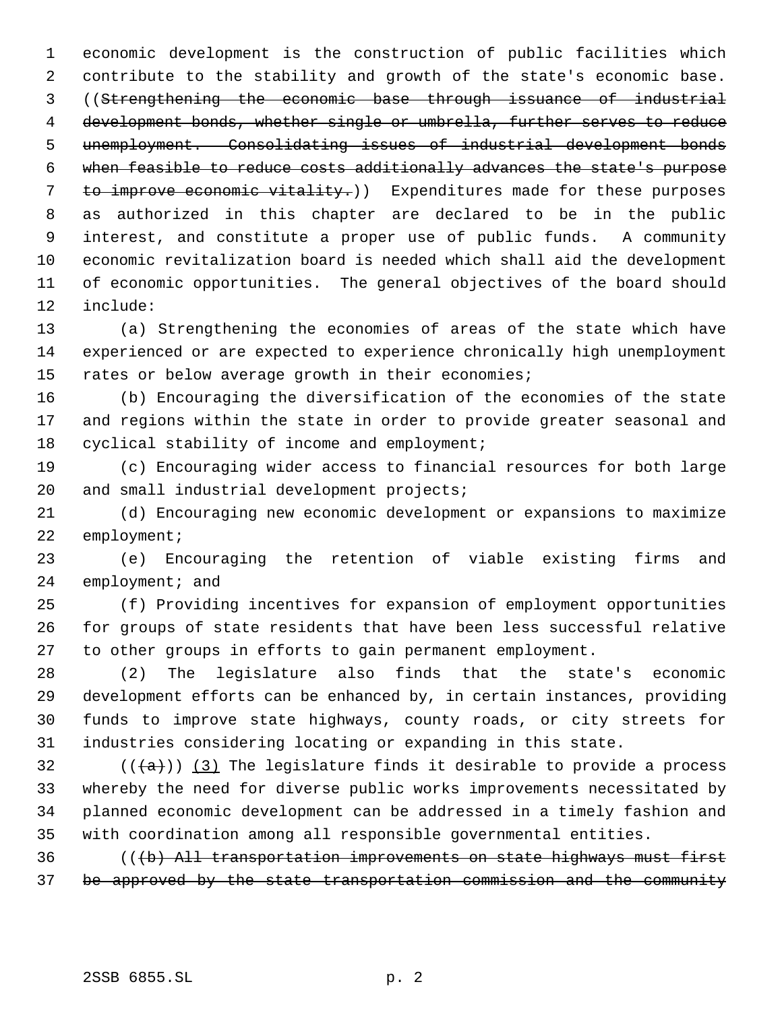economic development is the construction of public facilities which contribute to the stability and growth of the state's economic base. ((Strengthening the economic base through issuance of industrial development bonds, whether single or umbrella, further serves to reduce unemployment. Consolidating issues of industrial development bonds when feasible to reduce costs additionally advances the state's purpose 7 to improve economic vitality.)) Expenditures made for these purposes as authorized in this chapter are declared to be in the public interest, and constitute a proper use of public funds. A community economic revitalization board is needed which shall aid the development of economic opportunities. The general objectives of the board should include:

 (a) Strengthening the economies of areas of the state which have experienced or are expected to experience chronically high unemployment rates or below average growth in their economies;

 (b) Encouraging the diversification of the economies of the state and regions within the state in order to provide greater seasonal and cyclical stability of income and employment;

 (c) Encouraging wider access to financial resources for both large 20 and small industrial development projects;

 (d) Encouraging new economic development or expansions to maximize employment;

 (e) Encouraging the retention of viable existing firms and 24 employment; and

 (f) Providing incentives for expansion of employment opportunities for groups of state residents that have been less successful relative to other groups in efforts to gain permanent employment.

 (2) The legislature also finds that the state's economic development efforts can be enhanced by, in certain instances, providing funds to improve state highways, county roads, or city streets for industries considering locating or expanding in this state.

32 ( $(\overline{(a)})$  (3) The legislature finds it desirable to provide a process whereby the need for diverse public works improvements necessitated by planned economic development can be addressed in a timely fashion and with coordination among all responsible governmental entities.

 (((b) All transportation improvements on state highways must first be approved by the state transportation commission and the community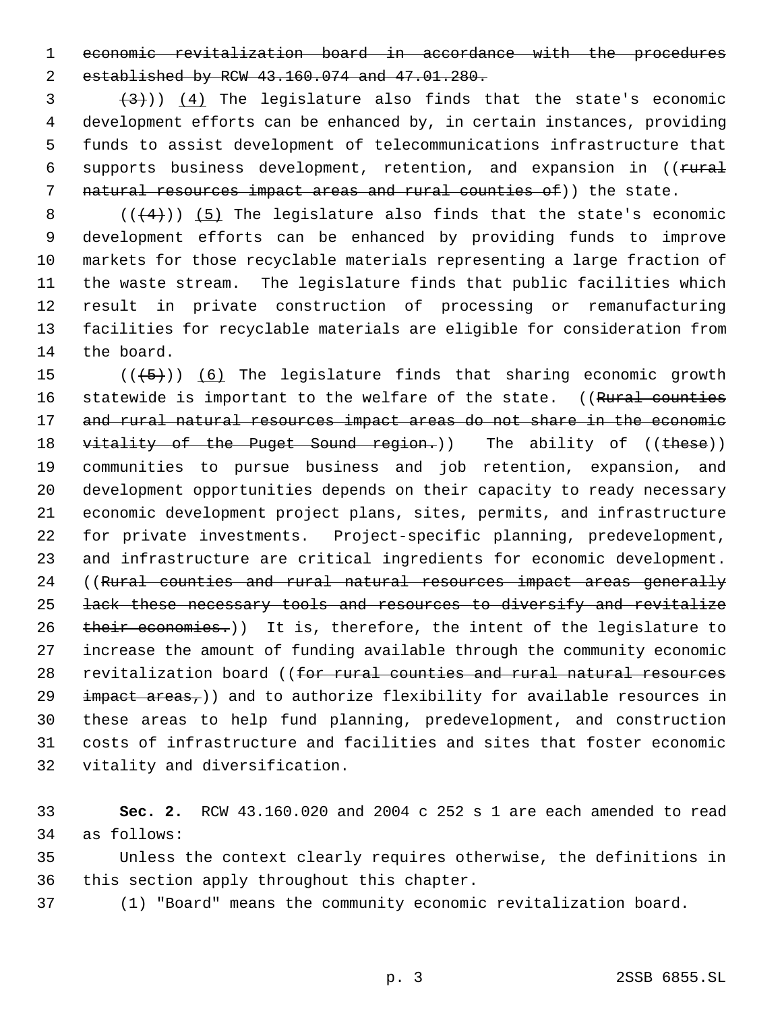economic revitalization board in accordance with the procedures established by RCW 43.160.074 and 47.01.280.

 $(3 + 3)$ ) (4) The legislature also finds that the state's economic development efforts can be enhanced by, in certain instances, providing funds to assist development of telecommunications infrastructure that 6 supports business development, retention, and expansion in ((rural 7 natural resources impact areas and rural counties of)) the state.

 $((+4))$  (5) The legislature also finds that the state's economic development efforts can be enhanced by providing funds to improve markets for those recyclable materials representing a large fraction of the waste stream. The legislature finds that public facilities which result in private construction of processing or remanufacturing facilities for recyclable materials are eligible for consideration from the board.

 $((+5))$   $(6)$  The legislature finds that sharing economic growth 16 statewide is important to the welfare of the state. ((Rural counties 17 and rural natural resources impact areas do not share in the economic 18 vitality of the Puget Sound region.)) The ability of ((these)) communities to pursue business and job retention, expansion, and development opportunities depends on their capacity to ready necessary economic development project plans, sites, permits, and infrastructure for private investments. Project-specific planning, predevelopment, and infrastructure are critical ingredients for economic development. 24 ((Rural counties and rural natural resources impact areas generally lack these necessary tools and resources to diversify and revitalize 26 their economies.)) It is, therefore, the intent of the legislature to increase the amount of funding available through the community economic 28 revitalization board ((for rural counties and rural natural resources impact areas,)) and to authorize flexibility for available resources in these areas to help fund planning, predevelopment, and construction costs of infrastructure and facilities and sites that foster economic vitality and diversification.

 **Sec. 2.** RCW 43.160.020 and 2004 c 252 s 1 are each amended to read as follows:

 Unless the context clearly requires otherwise, the definitions in this section apply throughout this chapter.

(1) "Board" means the community economic revitalization board.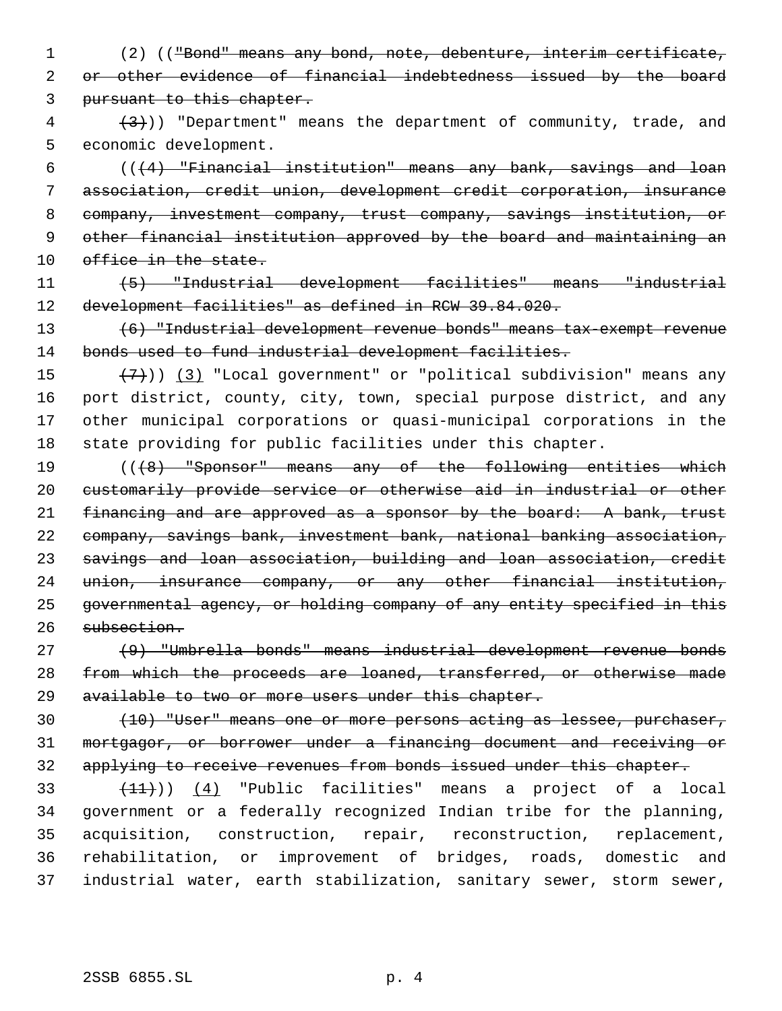(2) (("Bond" means any bond, note, debenture, interim certificate, or other evidence of financial indebtedness issued by the board pursuant to this chapter.

 $\left(4\right)$  (3)) "Department" means the department of community, trade, and economic development.

 $((+4)$  "Financial institution" means any bank, savings and loan association, credit union, development credit corporation, insurance company, investment company, trust company, savings institution, or other financial institution approved by the board and maintaining an 10 office in the state.

 (5) "Industrial development facilities" means "industrial development facilities" as defined in RCW 39.84.020.

 (6) "Industrial development revenue bonds" means tax-exempt revenue 14 bonds used to fund industrial development facilities.

 $(7)$ )) (3) "Local government" or "political subdivision" means any port district, county, city, town, special purpose district, and any other municipal corporations or quasi-municipal corporations in the state providing for public facilities under this chapter.

 (((8) "Sponsor" means any of the following entities which customarily provide service or otherwise aid in industrial or other 21 financing and are approved as a sponsor by the board: A bank, trust company, savings bank, investment bank, national banking association, savings and loan association, building and loan association, credit union, insurance company, or any other financial institution, governmental agency, or holding company of any entity specified in this subsection.

 (9) "Umbrella bonds" means industrial development revenue bonds 28 from which the proceeds are loaned, transferred, or otherwise made 29 available to two or more users under this chapter.

30 (10) "User" means one or more persons acting as lessee, purchaser, mortgagor, or borrower under a financing document and receiving or applying to receive revenues from bonds issued under this chapter.

 $(11)$ )  $(4)$  "Public facilities" means a project of a local government or a federally recognized Indian tribe for the planning, acquisition, construction, repair, reconstruction, replacement, rehabilitation, or improvement of bridges, roads, domestic and industrial water, earth stabilization, sanitary sewer, storm sewer,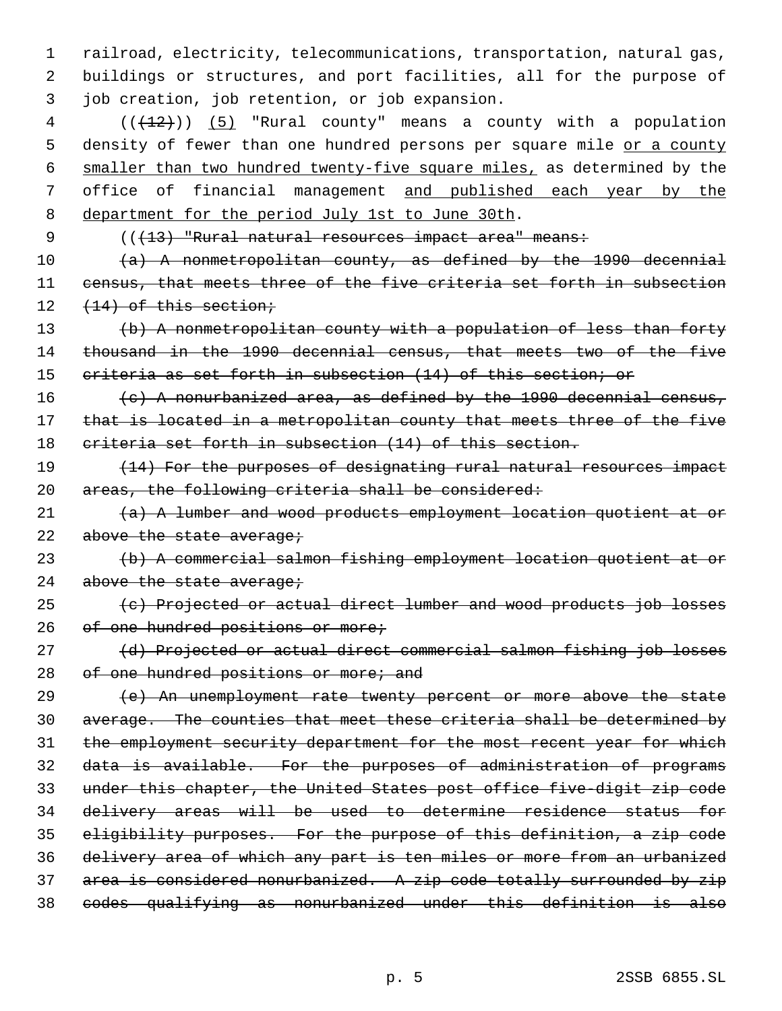1 railroad, electricity, telecommunications, transportation, natural gas, 2 buildings or structures, and port facilities, all for the purpose of 3 job creation, job retention, or job expansion.

 $4$  ( $(\frac{12}{12})$ ) (5) "Rural county" means a county with a population 5 density of fewer than one hundred persons per square mile or a county 6 smaller than two hundred twenty-five square miles, as determined by the 7 office of financial management and published each year by the 8 department for the period July 1st to June 30th.

9 (( $(13)$  "Rural natural resources impact area" means:

10  $(a)$  A nonmetropolitan county, as defined by the 1990 decennial 11 census, that meets three of the five criteria set forth in subsection  $12 \quad (14)$  of this section;

13 (b) A nonmetropolitan county with a population of less than forty 14 thousand in the 1990 decennial census, that meets two of the five 15 criteria as set forth in subsection (14) of this section; or

16  $(e)$  A nonurbanized area, as defined by the 1990 decennial census, 17 that is located in a metropolitan county that meets three of the five 18 criteria set forth in subsection (14) of this section.

19 (14) For the purposes of designating rural natural resources impact 20 areas, the following criteria shall be considered:

 $21$   $(a)$  A lumber and wood products employment location quotient at or 22 above the state average;

23 (b) A commercial salmon fishing employment location quotient at or 24 above the state average;

25 (c) Projected or actual direct lumber and wood products job losses 26 of one hundred positions or more;

27 (d) Projected or actual direct commercial salmon fishing job losses 28 of one hundred positions or more; and

 (e) An unemployment rate twenty percent or more above the state average. The counties that meet these criteria shall be determined by 31 the employment security department for the most recent year for which data is available. For the purposes of administration of programs under this chapter, the United States post office five-digit zip code delivery areas will be used to determine residence status for eligibility purposes. For the purpose of this definition, a zip code delivery area of which any part is ten miles or more from an urbanized area is considered nonurbanized. A zip code totally surrounded by zip codes qualifying as nonurbanized under this definition is also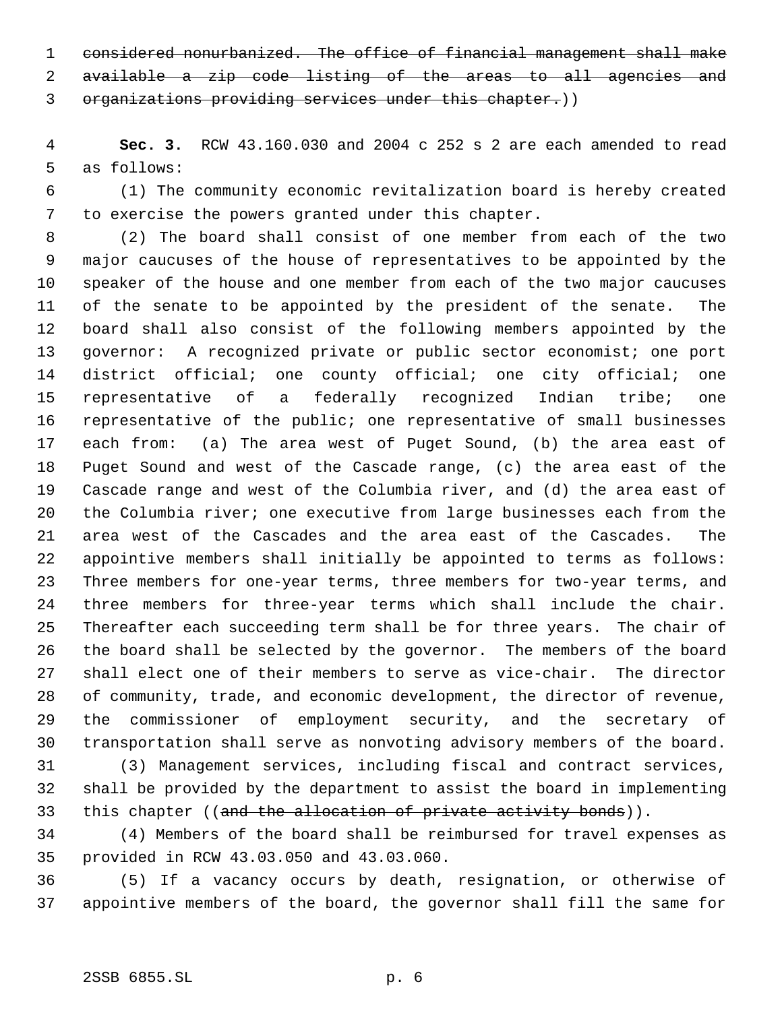considered nonurbanized. The office of financial management shall make

available a zip code listing of the areas to all agencies and

organizations providing services under this chapter.))

 **Sec. 3.** RCW 43.160.030 and 2004 c 252 s 2 are each amended to read as follows:

 (1) The community economic revitalization board is hereby created to exercise the powers granted under this chapter.

 (2) The board shall consist of one member from each of the two major caucuses of the house of representatives to be appointed by the speaker of the house and one member from each of the two major caucuses of the senate to be appointed by the president of the senate. The board shall also consist of the following members appointed by the governor: A recognized private or public sector economist; one port district official; one county official; one city official; one representative of a federally recognized Indian tribe; one representative of the public; one representative of small businesses each from: (a) The area west of Puget Sound, (b) the area east of Puget Sound and west of the Cascade range, (c) the area east of the Cascade range and west of the Columbia river, and (d) the area east of the Columbia river; one executive from large businesses each from the area west of the Cascades and the area east of the Cascades. The appointive members shall initially be appointed to terms as follows: Three members for one-year terms, three members for two-year terms, and three members for three-year terms which shall include the chair. Thereafter each succeeding term shall be for three years. The chair of the board shall be selected by the governor. The members of the board shall elect one of their members to serve as vice-chair. The director of community, trade, and economic development, the director of revenue, the commissioner of employment security, and the secretary of transportation shall serve as nonvoting advisory members of the board.

 (3) Management services, including fiscal and contract services, shall be provided by the department to assist the board in implementing 33 this chapter ((and the allocation of private activity bonds)).

 (4) Members of the board shall be reimbursed for travel expenses as provided in RCW 43.03.050 and 43.03.060.

 (5) If a vacancy occurs by death, resignation, or otherwise of appointive members of the board, the governor shall fill the same for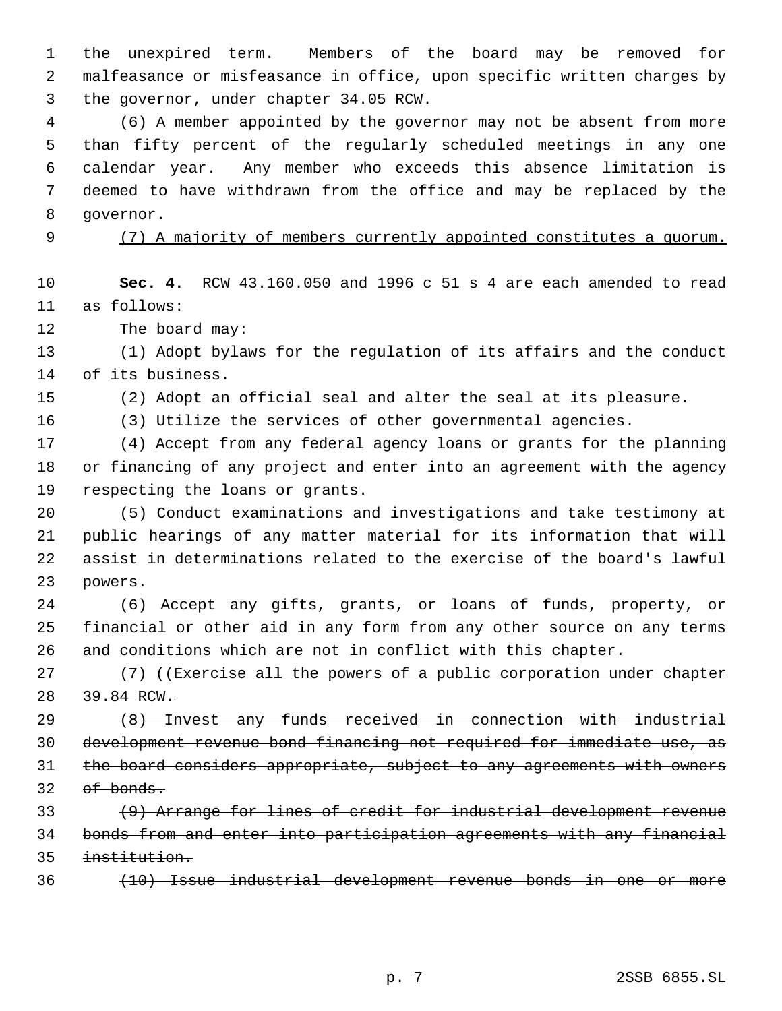the unexpired term. Members of the board may be removed for malfeasance or misfeasance in office, upon specific written charges by the governor, under chapter 34.05 RCW.

 (6) A member appointed by the governor may not be absent from more than fifty percent of the regularly scheduled meetings in any one calendar year. Any member who exceeds this absence limitation is deemed to have withdrawn from the office and may be replaced by the governor.

# (7) A majority of members currently appointed constitutes a quorum.

 **Sec. 4.** RCW 43.160.050 and 1996 c 51 s 4 are each amended to read as follows:

12 The board may:

 (1) Adopt bylaws for the regulation of its affairs and the conduct of its business.

(2) Adopt an official seal and alter the seal at its pleasure.

(3) Utilize the services of other governmental agencies.

 (4) Accept from any federal agency loans or grants for the planning or financing of any project and enter into an agreement with the agency respecting the loans or grants.

 (5) Conduct examinations and investigations and take testimony at public hearings of any matter material for its information that will assist in determinations related to the exercise of the board's lawful powers.

 (6) Accept any gifts, grants, or loans of funds, property, or financial or other aid in any form from any other source on any terms and conditions which are not in conflict with this chapter.

27 (7) ((Exercise all the powers of a public corporation under chapter 28 39.84 RCW.

 (8) Invest any funds received in connection with industrial development revenue bond financing not required for immediate use, as the board considers appropriate, subject to any agreements with owners of bonds.

33 (9) Arrange for lines of credit for industrial development revenue bonds from and enter into participation agreements with any financial institution.

(10) Issue industrial development revenue bonds in one or more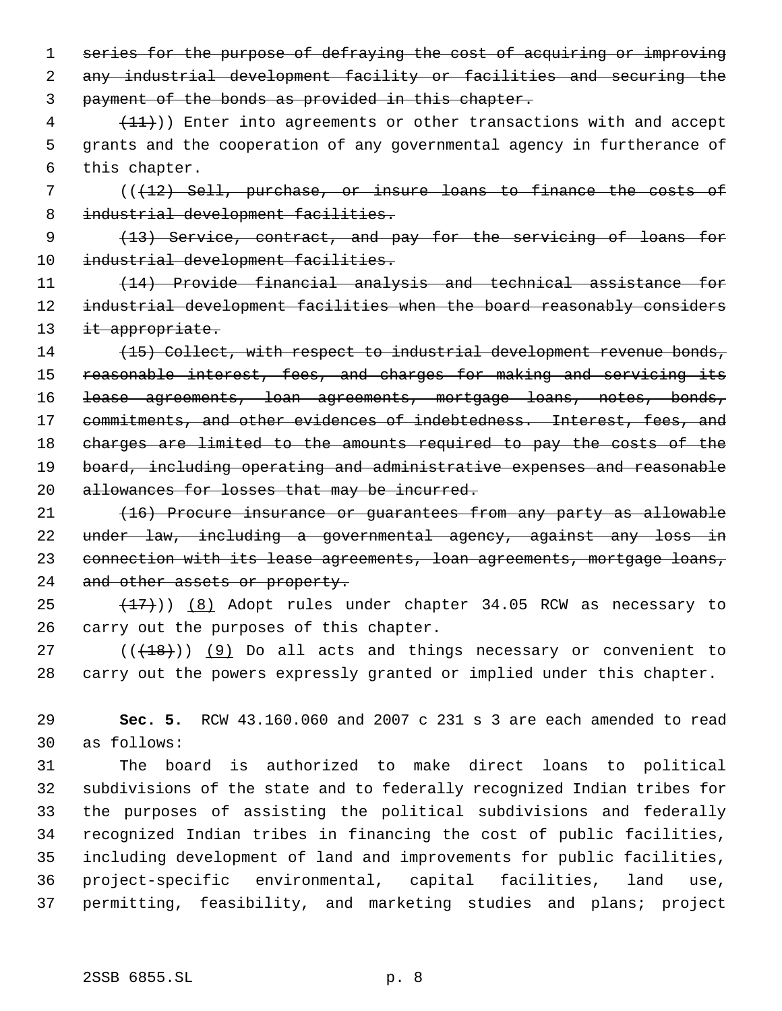1 series for the purpose of defraying the cost of acquiring or improving any industrial development facility or facilities and securing the payment of the bonds as provided in this chapter.

 $(4 + 11)$ ) Enter into agreements or other transactions with and accept grants and the cooperation of any governmental agency in furtherance of

this chapter.

 (((12) Sell, purchase, or insure loans to finance the costs of 8 industrial development facilities.

 (13) Service, contract, and pay for the servicing of loans for 10 industrial development facilities.

 (14) Provide financial analysis and technical assistance for 12 industrial development facilities when the board reasonably considers 13 it appropriate.

14 (15) Collect, with respect to industrial development revenue bonds, reasonable interest, fees, and charges for making and servicing its lease agreements, loan agreements, mortgage loans, notes, bonds, 17 commitments, and other evidences of indebtedness. Interest, fees, and charges are limited to the amounts required to pay the costs of the 19 board, including operating and administrative expenses and reasonable 20 allowances for losses that may be incurred.

 (16) Procure insurance or guarantees from any party as allowable under law, including a governmental agency, against any loss in 23 connection with its lease agreements, loan agreements, mortgage loans, 24 and other assets or property.

 $(17)$ ) (8) Adopt rules under chapter 34.05 RCW as necessary to carry out the purposes of this chapter.

 $((+18))$  (9) Do all acts and things necessary or convenient to carry out the powers expressly granted or implied under this chapter.

 **Sec. 5.** RCW 43.160.060 and 2007 c 231 s 3 are each amended to read as follows:

 The board is authorized to make direct loans to political subdivisions of the state and to federally recognized Indian tribes for the purposes of assisting the political subdivisions and federally recognized Indian tribes in financing the cost of public facilities, including development of land and improvements for public facilities, project-specific environmental, capital facilities, land use, permitting, feasibility, and marketing studies and plans; project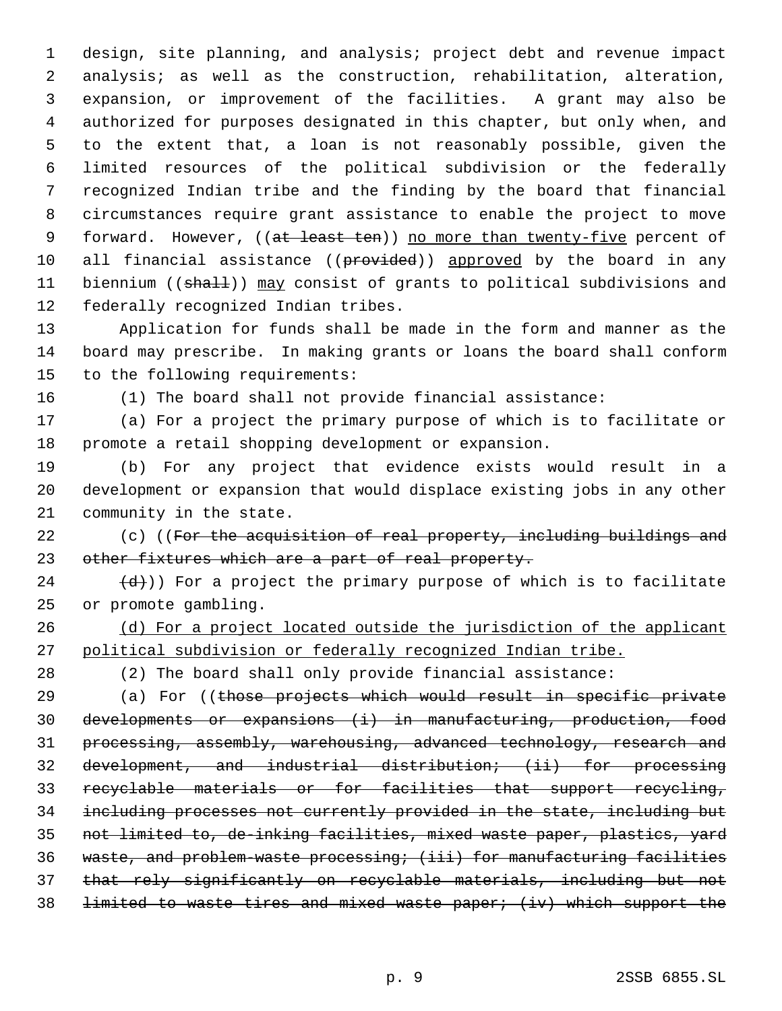design, site planning, and analysis; project debt and revenue impact analysis; as well as the construction, rehabilitation, alteration, expansion, or improvement of the facilities. A grant may also be authorized for purposes designated in this chapter, but only when, and to the extent that, a loan is not reasonably possible, given the limited resources of the political subdivision or the federally recognized Indian tribe and the finding by the board that financial circumstances require grant assistance to enable the project to move 9 forward. However, ((at least ten)) no more than twenty-five percent of 10 all financial assistance ((provided)) approved by the board in any 11 biennium ((shall)) may consist of grants to political subdivisions and federally recognized Indian tribes.

 Application for funds shall be made in the form and manner as the board may prescribe. In making grants or loans the board shall conform to the following requirements:

(1) The board shall not provide financial assistance:

 (a) For a project the primary purpose of which is to facilitate or promote a retail shopping development or expansion.

 (b) For any project that evidence exists would result in a development or expansion that would displace existing jobs in any other community in the state.

22 (c) ((For the acquisition of real property, including buildings and 23 other fixtures which are a part of real property.

 $(4)$ )) For a project the primary purpose of which is to facilitate or promote gambling.

26 (d) For a project located outside the jurisdiction of the applicant political subdivision or federally recognized Indian tribe.

(2) The board shall only provide financial assistance:

29 (a) For ((those projects which would result in specific private developments or expansions (i) in manufacturing, production, food processing, assembly, warehousing, advanced technology, research and development, and industrial distribution; (ii) for processing recyclable materials or for facilities that support recycling, including processes not currently provided in the state, including but not limited to, de-inking facilities, mixed waste paper, plastics, yard waste, and problem-waste processing; (iii) for manufacturing facilities that rely significantly on recyclable materials, including but not limited to waste tires and mixed waste paper; (iv) which support the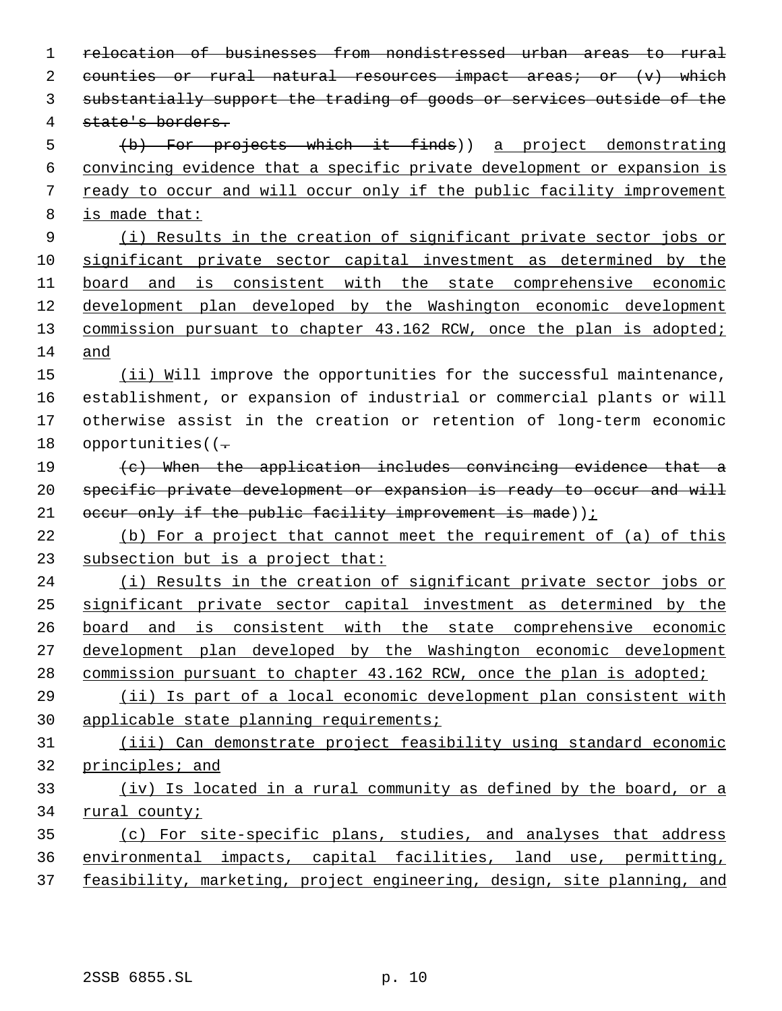relocation of businesses from nondistressed urban areas to rural 2 counties or rural natural resources impact areas; or  $(v)$  which substantially support the trading of goods or services outside of the state's borders. (b) For projects which it finds)) a project demonstrating convincing evidence that a specific private development or expansion is ready to occur and will occur only if the public facility improvement is made that: (i) Results in the creation of significant private sector jobs or significant private sector capital investment as determined by the board and is consistent with the state comprehensive economic development plan developed by the Washington economic development 13 commission pursuant to chapter 43.162 RCW, once the plan is adopted; and 15 (ii) Will improve the opportunities for the successful maintenance, establishment, or expansion of industrial or commercial plants or will otherwise assist in the creation or retention of long-term economic 18 opportunities( $(-$  (c) When the application includes convincing evidence that a 20 specific private development or expansion is ready to occur and will 21 occur only if the public facility improvement is made)) $$  (b) For a project that cannot meet the requirement of (a) of this subsection but is a project that: 24 (i) Results in the creation of significant private sector jobs or significant private sector capital investment as determined by the board and is consistent with the state comprehensive economic development plan developed by the Washington economic development 28 commission pursuant to chapter 43.162 RCW, once the plan is adopted; (ii) Is part of a local economic development plan consistent with applicable state planning requirements; (iii) Can demonstrate project feasibility using standard economic principles; and (iv) Is located in a rural community as defined by the board, or a rural county; (c) For site-specific plans, studies, and analyses that address environmental impacts, capital facilities, land use, permitting, 37 feasibility, marketing, project engineering, design, site planning, and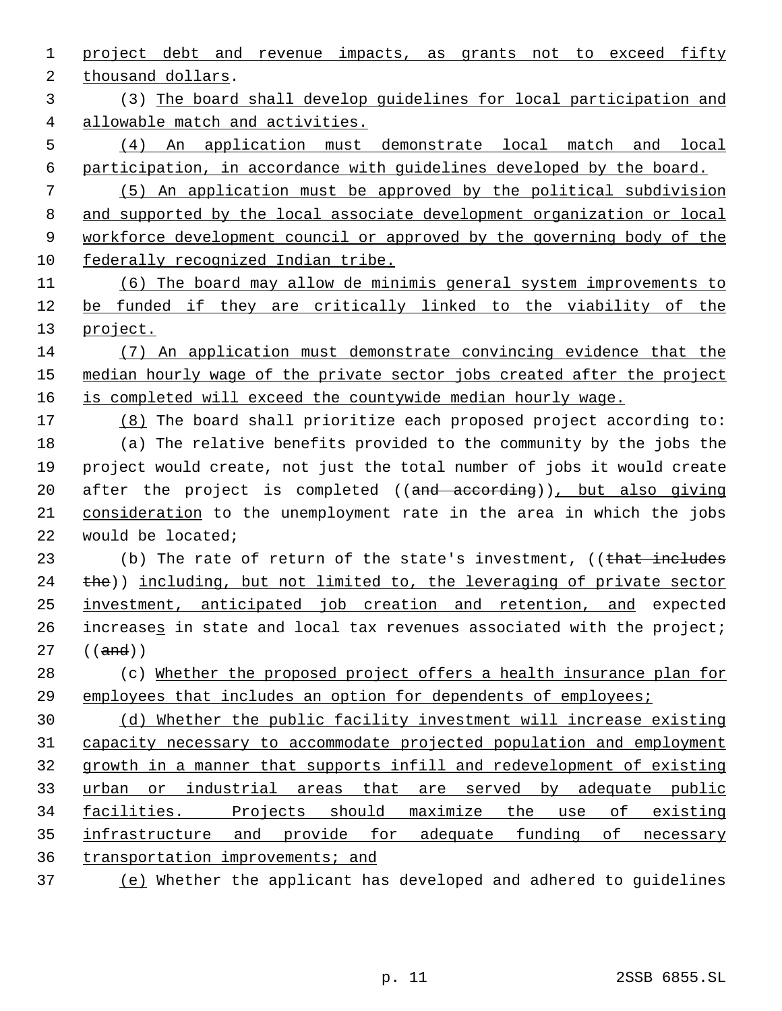project debt and revenue impacts, as grants not to exceed fifty

thousand dollars.

 (3) The board shall develop guidelines for local participation and allowable match and activities.

 (4) An application must demonstrate local match and local participation, in accordance with guidelines developed by the board.

 (5) An application must be approved by the political subdivision and supported by the local associate development organization or local workforce development council or approved by the governing body of the federally recognized Indian tribe.

 (6) The board may allow de minimis general system improvements to be funded if they are critically linked to the viability of the 13 project.

 (7) An application must demonstrate convincing evidence that the 15 median hourly wage of the private sector jobs created after the project 16 is completed will exceed the countywide median hourly wage.

 (8) The board shall prioritize each proposed project according to: (a) The relative benefits provided to the community by the jobs the project would create, not just the total number of jobs it would create 20 after the project is completed ((and according)), but also giving 21 consideration to the unemployment rate in the area in which the jobs would be located;

23 (b) The rate of return of the state's investment, ((that includes the)) including, but not limited to, the leveraging of private sector investment, anticipated job creation and retention, and expected 26 increases in state and local tax revenues associated with the project; ((and))

 (c) Whether the proposed project offers a health insurance plan for employees that includes an option for dependents of employees;

 (d) Whether the public facility investment will increase existing capacity necessary to accommodate projected population and employment growth in a manner that supports infill and redevelopment of existing urban or industrial areas that are served by adequate public facilities. Projects should maximize the use of existing infrastructure and provide for adequate funding of necessary transportation improvements; and

(e) Whether the applicant has developed and adhered to guidelines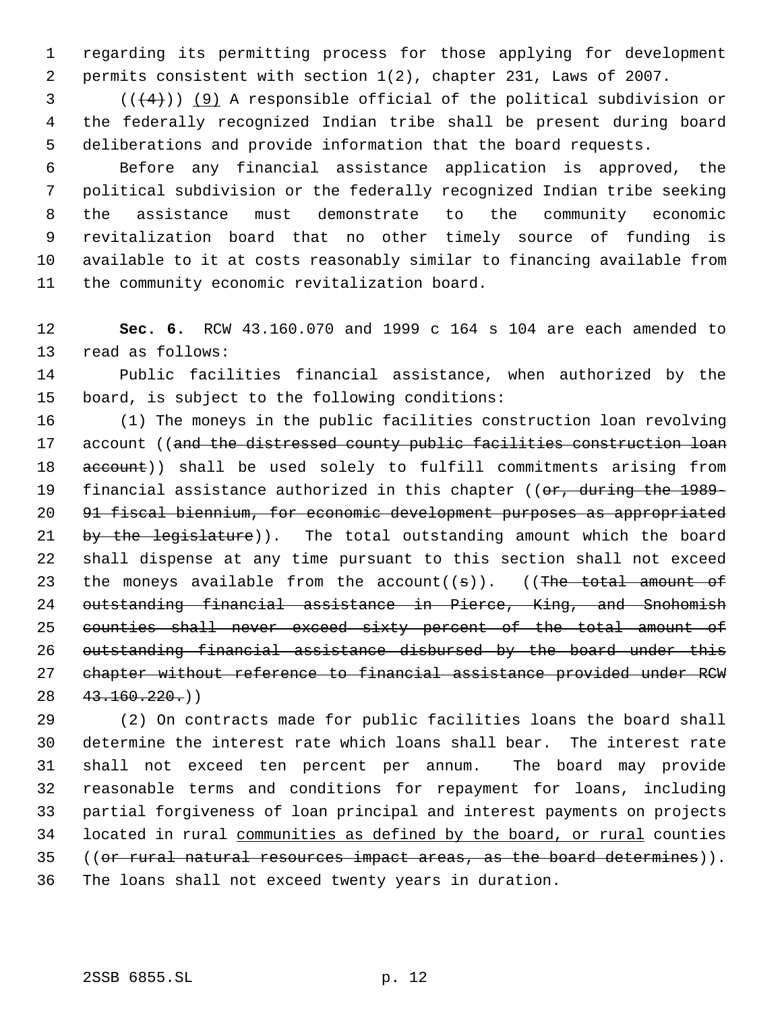regarding its permitting process for those applying for development permits consistent with section 1(2), chapter 231, Laws of 2007.

 (( $(4)$ )) (9) A responsible official of the political subdivision or the federally recognized Indian tribe shall be present during board deliberations and provide information that the board requests.

 Before any financial assistance application is approved, the political subdivision or the federally recognized Indian tribe seeking the assistance must demonstrate to the community economic revitalization board that no other timely source of funding is available to it at costs reasonably similar to financing available from the community economic revitalization board.

 **Sec. 6.** RCW 43.160.070 and 1999 c 164 s 104 are each amended to read as follows:

 Public facilities financial assistance, when authorized by the board, is subject to the following conditions:

 (1) The moneys in the public facilities construction loan revolving 17 account ((and the distressed county public facilities construction loan 18 account)) shall be used solely to fulfill commitments arising from 19 financial assistance authorized in this chapter ((or, during the 1989- 91 fiscal biennium, for economic development purposes as appropriated 21 by the legislature)). The total outstanding amount which the board shall dispense at any time pursuant to this section shall not exceed 23 the moneys available from the account( $(s)$ ). ((The total amount of outstanding financial assistance in Pierce, King, and Snohomish counties shall never exceed sixty percent of the total amount of 26 outstanding financial assistance disbursed by the board under this chapter without reference to financial assistance provided under RCW  $28 \quad 43.160.220()$ 

 (2) On contracts made for public facilities loans the board shall determine the interest rate which loans shall bear. The interest rate shall not exceed ten percent per annum. The board may provide reasonable terms and conditions for repayment for loans, including partial forgiveness of loan principal and interest payments on projects 34 located in rural communities as defined by the board, or rural counties ((or rural natural resources impact areas, as the board determines)). The loans shall not exceed twenty years in duration.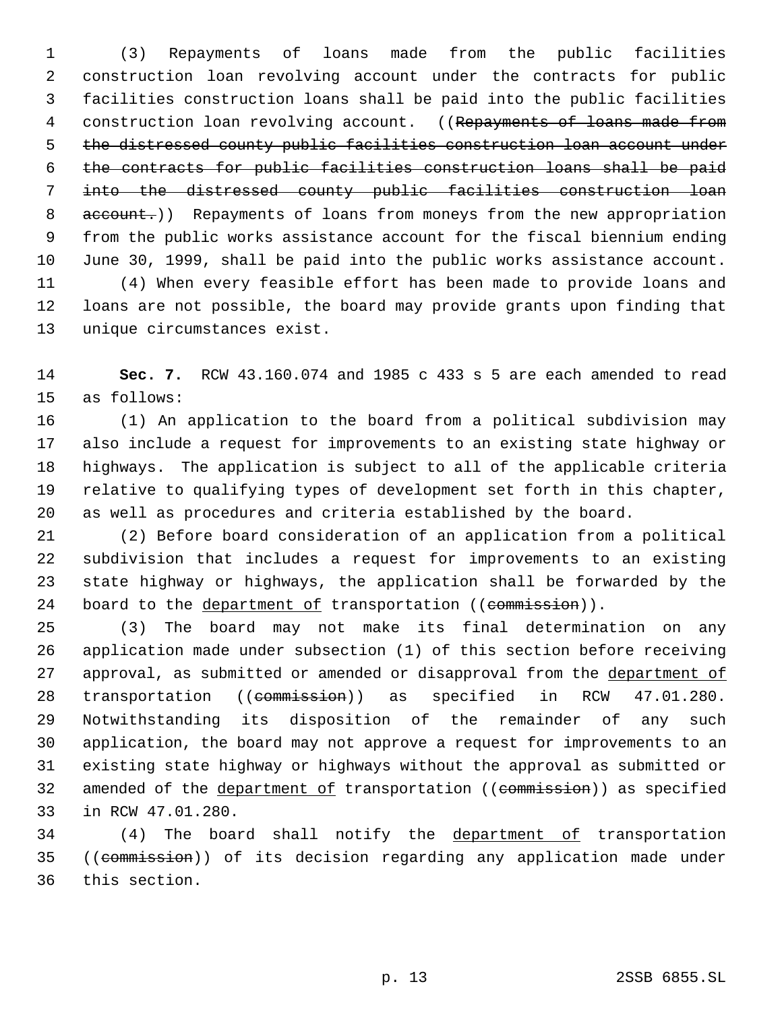(3) Repayments of loans made from the public facilities construction loan revolving account under the contracts for public facilities construction loans shall be paid into the public facilities 4 construction loan revolving account. ((Repayments of loans made from the distressed county public facilities construction loan account under the contracts for public facilities construction loans shall be paid into the distressed county public facilities construction loan 8 account.)) Repayments of loans from moneys from the new appropriation from the public works assistance account for the fiscal biennium ending June 30, 1999, shall be paid into the public works assistance account.

 (4) When every feasible effort has been made to provide loans and loans are not possible, the board may provide grants upon finding that unique circumstances exist.

 **Sec. 7.** RCW 43.160.074 and 1985 c 433 s 5 are each amended to read as follows:

 (1) An application to the board from a political subdivision may also include a request for improvements to an existing state highway or highways. The application is subject to all of the applicable criteria relative to qualifying types of development set forth in this chapter, as well as procedures and criteria established by the board.

 (2) Before board consideration of an application from a political subdivision that includes a request for improvements to an existing state highway or highways, the application shall be forwarded by the 24 board to the department of transportation ((commission)).

 (3) The board may not make its final determination on any application made under subsection (1) of this section before receiving 27 approval, as submitted or amended or disapproval from the department of 28 transportation ((commission)) as specified in RCW 47.01.280. Notwithstanding its disposition of the remainder of any such application, the board may not approve a request for improvements to an existing state highway or highways without the approval as submitted or 32 amended of the department of transportation ((commission)) as specified in RCW 47.01.280.

 (4) The board shall notify the department of transportation ((commission)) of its decision regarding any application made under this section.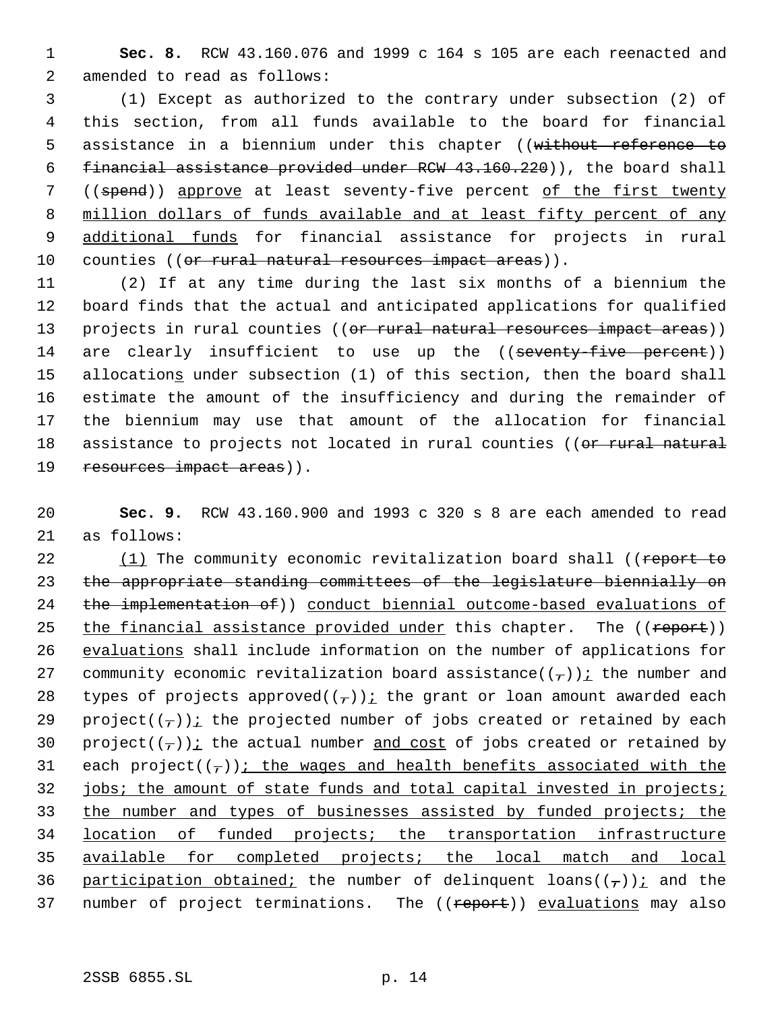1 **Sec. 8.** RCW 43.160.076 and 1999 c 164 s 105 are each reenacted and 2 amended to read as follows:

 (1) Except as authorized to the contrary under subsection (2) of this section, from all funds available to the board for financial 5 assistance in a biennium under this chapter ((without reference to financial assistance provided under RCW 43.160.220)), the board shall ((spend)) approve at least seventy-five percent of the first twenty million dollars of funds available and at least fifty percent of any 9 additional funds for financial assistance for projects in rural 10 counties ((<del>or rural natural resources impact areas</del>)).

11 (2) If at any time during the last six months of a biennium the 12 board finds that the actual and anticipated applications for qualified 13 projects in rural counties ((or rural natural resources impact areas)) 14 are clearly insufficient to use up the ((seventy-five percent)) 15 allocations under subsection (1) of this section, then the board shall 16 estimate the amount of the insufficiency and during the remainder of 17 the biennium may use that amount of the allocation for financial 18 assistance to projects not located in rural counties ((or rural natural 19 resources impact areas)).

20 **Sec. 9.** RCW 43.160.900 and 1993 c 320 s 8 are each amended to read 21 as follows:

22 (1) The community economic revitalization board shall ((report to 23 the appropriate standing committees of the legislature biennially on 24 the implementation of)) conduct biennial outcome-based evaluations of 25 the financial assistance provided under this chapter. The ((report)) 26 evaluations shall include information on the number of applications for 27 community economic revitalization board assistance( $(\tau)$ ) *i* the number and 28 types of projects approved( $(\tau)$ ) *i* the grant or loan amount awarded each 29 project( $(\tau)$ ); the projected number of jobs created or retained by each 30 project( $(\tau)$ ) *i* the actual number and cost of jobs created or retained by 31 each project( $(\tau)$ ); the wages and health benefits associated with the 32 jobs; the amount of state funds and total capital invested in projects; 33 the number and types of businesses assisted by funded projects; the 34 location of funded projects; the transportation infrastructure 35 available for completed projects; the local match and local 36 participation obtained; the number of delinquent loans( $(\tau)$ ); and the 37 number of project terminations. The ((report)) evaluations may also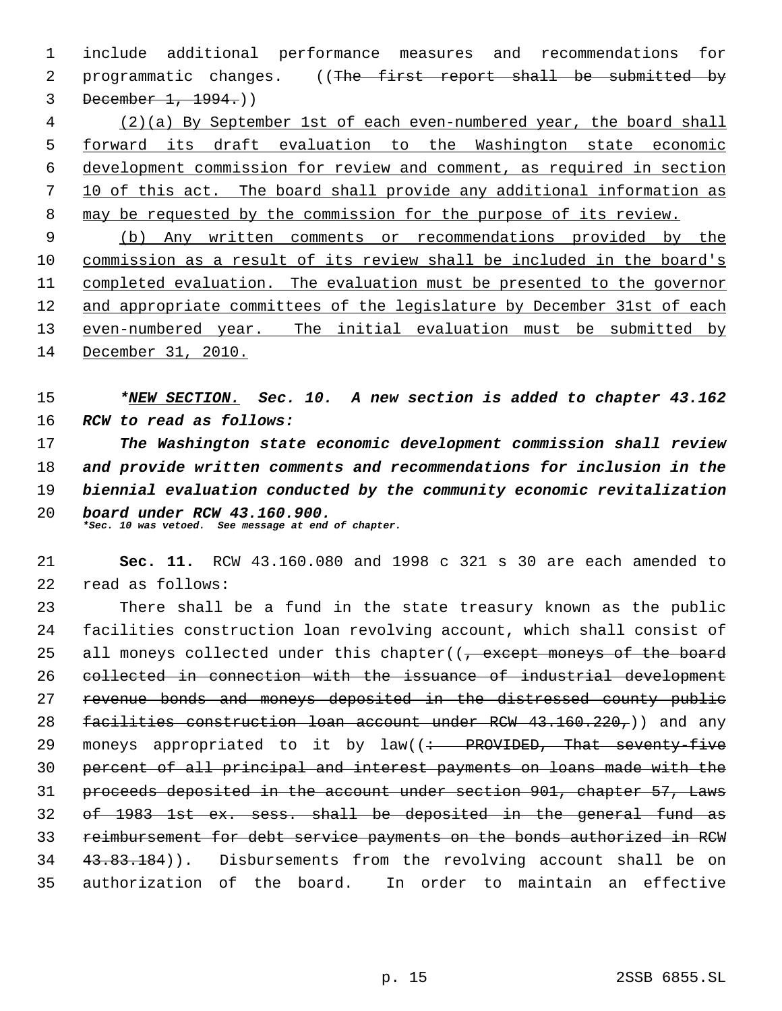include additional performance measures and recommendations for 2 programmatic changes. ((The first report shall be submitted by December 1, 1994.))

 (2)(a) By September 1st of each even-numbered year, the board shall forward its draft evaluation to the Washington state economic development commission for review and comment, as required in section 10 of this act. The board shall provide any additional information as may be requested by the commission for the purpose of its review.

 (b) Any written comments or recommendations provided by the commission as a result of its review shall be included in the board's 11 completed evaluation. The evaluation must be presented to the governor and appropriate committees of the legislature by December 31st of each even-numbered year. The initial evaluation must be submitted by December 31, 2010.

 *\*NEW SECTION. Sec. 10. A new section is added to chapter 43.162 RCW to read as follows:*

 *The Washington state economic development commission shall review and provide written comments and recommendations for inclusion in the biennial evaluation conducted by the community economic revitalization board under RCW 43.160.900. \*Sec. 10 was vetoed. See message at end of chapter.*

 **Sec. 11.** RCW 43.160.080 and 1998 c 321 s 30 are each amended to read as follows:

 There shall be a fund in the state treasury known as the public facilities construction loan revolving account, which shall consist of 25 all moneys collected under this chapter((<del>, except moneys of the board</del> collected in connection with the issuance of industrial development revenue bonds and moneys deposited in the distressed county public 28 facilities construction loan account under RCW  $(43.160.220_7)$  and any 29 moneys appropriated to it by  $law((\div - \text{PROVIDED}, \text{That} \text{seventy-five})$  percent of all principal and interest payments on loans made with the proceeds deposited in the account under section 901, chapter 57, Laws of 1983 1st ex. sess. shall be deposited in the general fund as reimbursement for debt service payments on the bonds authorized in RCW 34 43.83.184)). Disbursements from the revolving account shall be on authorization of the board. In order to maintain an effective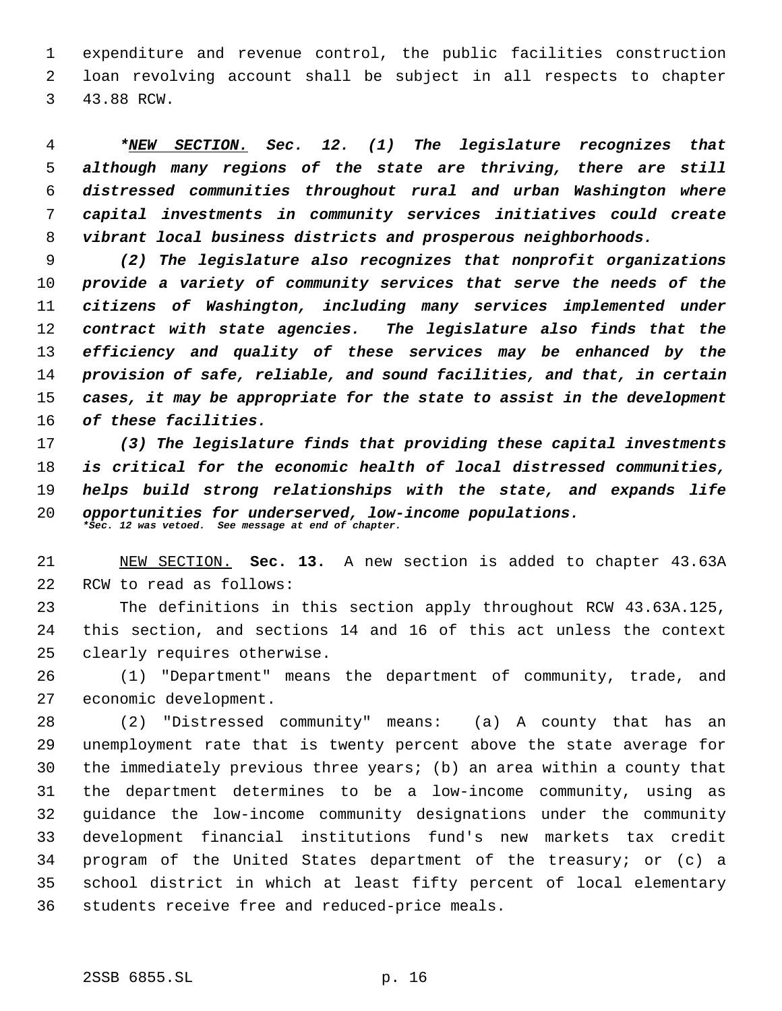expenditure and revenue control, the public facilities construction loan revolving account shall be subject in all respects to chapter 43.88 RCW.

 *\*NEW SECTION. Sec. 12. (1) The legislature recognizes that although many regions of the state are thriving, there are still distressed communities throughout rural and urban Washington where capital investments in community services initiatives could create vibrant local business districts and prosperous neighborhoods.*

 *(2) The legislature also recognizes that nonprofit organizations provide a variety of community services that serve the needs of the citizens of Washington, including many services implemented under contract with state agencies. The legislature also finds that the efficiency and quality of these services may be enhanced by the provision of safe, reliable, and sound facilities, and that, in certain cases, it may be appropriate for the state to assist in the development of these facilities.*

 *(3) The legislature finds that providing these capital investments is critical for the economic health of local distressed communities, helps build strong relationships with the state, and expands life opportunities for underserved, low-income populations. \*Sec. 12 was vetoed. See message at end of chapter.*

 NEW SECTION. **Sec. 13.** A new section is added to chapter 43.63A RCW to read as follows:

 The definitions in this section apply throughout RCW 43.63A.125, this section, and sections 14 and 16 of this act unless the context clearly requires otherwise.

 (1) "Department" means the department of community, trade, and economic development.

 (2) "Distressed community" means: (a) A county that has an unemployment rate that is twenty percent above the state average for the immediately previous three years; (b) an area within a county that the department determines to be a low-income community, using as guidance the low-income community designations under the community development financial institutions fund's new markets tax credit program of the United States department of the treasury; or (c) a school district in which at least fifty percent of local elementary students receive free and reduced-price meals.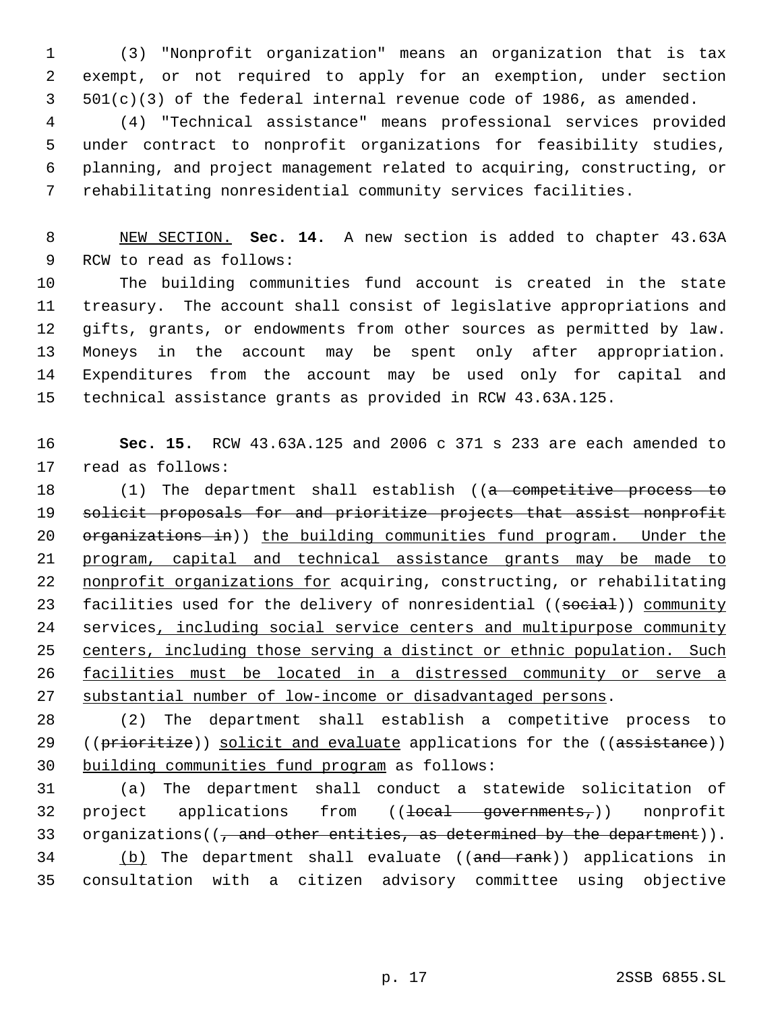(3) "Nonprofit organization" means an organization that is tax exempt, or not required to apply for an exemption, under section 501(c)(3) of the federal internal revenue code of 1986, as amended.

 (4) "Technical assistance" means professional services provided under contract to nonprofit organizations for feasibility studies, planning, and project management related to acquiring, constructing, or rehabilitating nonresidential community services facilities.

 NEW SECTION. **Sec. 14.** A new section is added to chapter 43.63A RCW to read as follows:

 The building communities fund account is created in the state treasury. The account shall consist of legislative appropriations and gifts, grants, or endowments from other sources as permitted by law. Moneys in the account may be spent only after appropriation. Expenditures from the account may be used only for capital and technical assistance grants as provided in RCW 43.63A.125.

 **Sec. 15.** RCW 43.63A.125 and 2006 c 371 s 233 are each amended to read as follows:

18 (1) The department shall establish ((a competitive process to solicit proposals for and prioritize projects that assist nonprofit 20 organizations in)) the building communities fund program. Under the program, capital and technical assistance grants may be made to 22 nonprofit organizations for acquiring, constructing, or rehabilitating 23 facilities used for the delivery of nonresidential ((social)) community services, including social service centers and multipurpose community 25 centers, including those serving a distinct or ethnic population. Such facilities must be located in a distressed community or serve a substantial number of low-income or disadvantaged persons.

 (2) The department shall establish a competitive process to 29 ((prioritize)) solicit and evaluate applications for the ((assistance)) building communities fund program as follows:

 (a) The department shall conduct a statewide solicitation of 32 project applications from ((<del>local governments,</del>)) nonprofit 33 organizations( $\left(\frac{1}{2}, \frac{1}{2}a\right)$  other entities, as determined by the department)). 34 (b) The department shall evaluate ((and rank)) applications in consultation with a citizen advisory committee using objective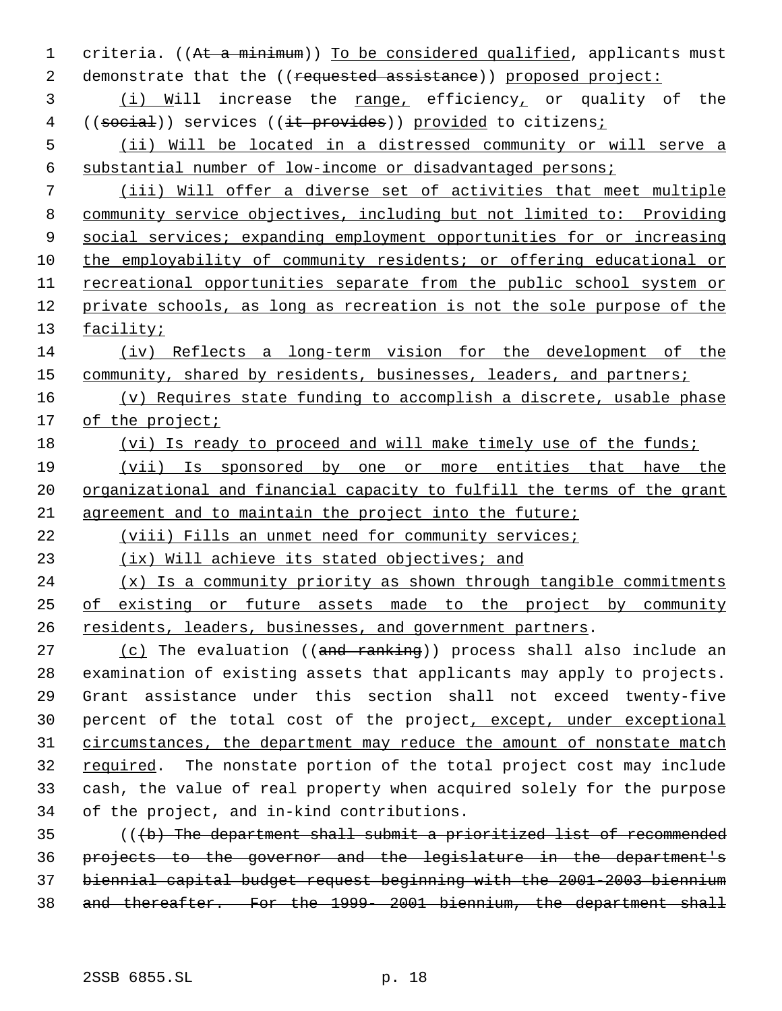1 criteria. ((At a minimum)) To be considered qualified, applicants must 2 demonstrate that the ((requested assistance)) proposed project: 3 (i) Will increase the range, efficiency, or quality of the 4 ((social)) services ((it provides)) provided to citizens; (ii) Will be located in a distressed community or will serve a substantial number of low-income or disadvantaged persons; (iii) Will offer a diverse set of activities that meet multiple community service objectives, including but not limited to: Providing social services; expanding employment opportunities for or increasing the employability of community residents; or offering educational or recreational opportunities separate from the public school system or private schools, as long as recreation is not the sole purpose of the 13 facility; (iv) Reflects a long-term vision for the development of the 15 community, shared by residents, businesses, leaders, and partners; (v) Requires state funding to accomplish a discrete, usable phase of the project; 18 (vi) Is ready to proceed and will make timely use of the funds; (vii) Is sponsored by one or more entities that have the 20 organizational and financial capacity to fulfill the terms of the grant agreement and to maintain the project into the future; (viii) Fills an unmet need for community services; (ix) Will achieve its stated objectives; and 24 (x) Is a community priority as shown through tangible commitments of existing or future assets made to the project by community 26 residents, leaders, businesses, and government partners. 27 (c) The evaluation ((and ranking)) process shall also include an examination of existing assets that applicants may apply to projects. Grant assistance under this section shall not exceed twenty-five 30 percent of the total cost of the project, except, under exceptional 31 circumstances, the department may reduce the amount of nonstate match required. The nonstate portion of the total project cost may include cash, the value of real property when acquired solely for the purpose of the project, and in-kind contributions. (((b) The department shall submit a prioritized list of recommended projects to the governor and the legislature in the department's

 biennial capital budget request beginning with the 2001-2003 biennium and thereafter. For the 1999- 2001 biennium, the department shall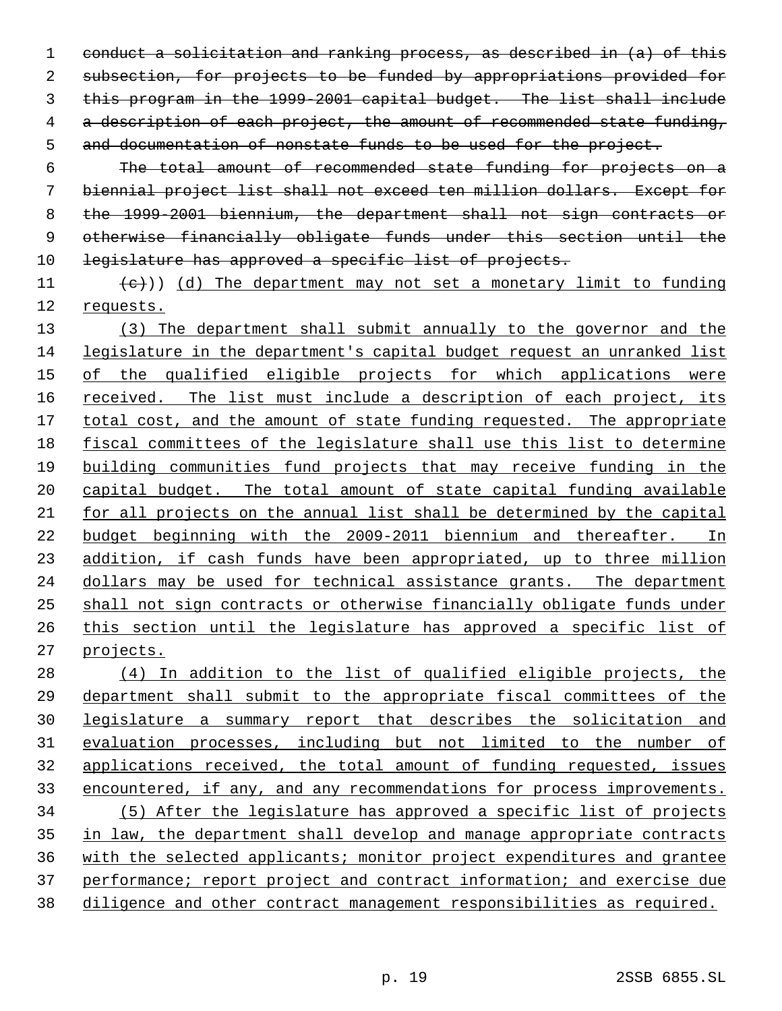conduct a solicitation and ranking process, as described in (a) of this subsection, for projects to be funded by appropriations provided for this program in the 1999-2001 capital budget. The list shall include 4 a description of each project, the amount of recommended state funding, and documentation of nonstate funds to be used for the project.

 The total amount of recommended state funding for projects on a biennial project list shall not exceed ten million dollars. Except for the 1999-2001 biennium, the department shall not sign contracts or otherwise financially obligate funds under this section until the 10 legislature has approved a specific list of projects.

11  $(e)$ ) (d) The department may not set a monetary limit to funding requests.

 (3) The department shall submit annually to the governor and the legislature in the department's capital budget request an unranked list 15 of the qualified eligible projects for which applications were 16 received. The list must include a description of each project, its 17 total cost, and the amount of state funding requested. The appropriate fiscal committees of the legislature shall use this list to determine building communities fund projects that may receive funding in the capital budget. The total amount of state capital funding available for all projects on the annual list shall be determined by the capital budget beginning with the 2009-2011 biennium and thereafter. In 23 addition, if cash funds have been appropriated, up to three million dollars may be used for technical assistance grants. The department shall not sign contracts or otherwise financially obligate funds under this section until the legislature has approved a specific list of projects.

 (4) In addition to the list of qualified eligible projects, the department shall submit to the appropriate fiscal committees of the legislature a summary report that describes the solicitation and evaluation processes, including but not limited to the number of applications received, the total amount of funding requested, issues encountered, if any, and any recommendations for process improvements. (5) After the legislature has approved a specific list of projects 35 in law, the department shall develop and manage appropriate contracts with the selected applicants; monitor project expenditures and grantee 37 performance; report project and contract information; and exercise due diligence and other contract management responsibilities as required.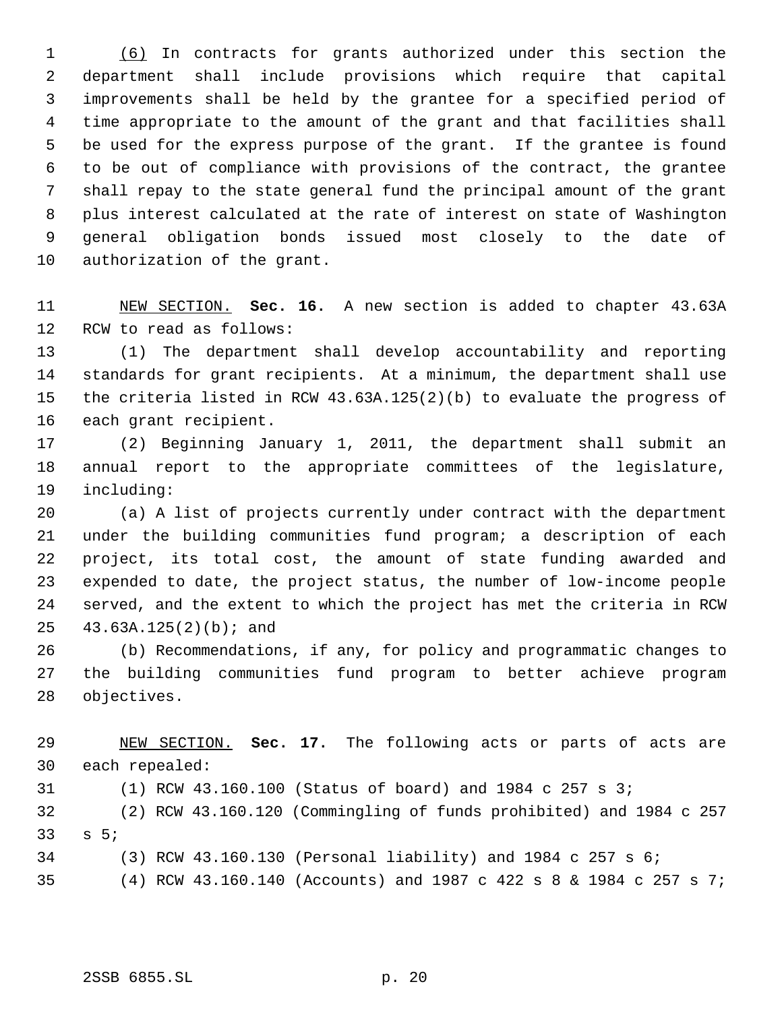(6) In contracts for grants authorized under this section the department shall include provisions which require that capital improvements shall be held by the grantee for a specified period of time appropriate to the amount of the grant and that facilities shall be used for the express purpose of the grant. If the grantee is found to be out of compliance with provisions of the contract, the grantee shall repay to the state general fund the principal amount of the grant plus interest calculated at the rate of interest on state of Washington general obligation bonds issued most closely to the date of authorization of the grant.

 NEW SECTION. **Sec. 16.** A new section is added to chapter 43.63A RCW to read as follows:

 (1) The department shall develop accountability and reporting standards for grant recipients. At a minimum, the department shall use the criteria listed in RCW 43.63A.125(2)(b) to evaluate the progress of each grant recipient.

 (2) Beginning January 1, 2011, the department shall submit an annual report to the appropriate committees of the legislature, including:

 (a) A list of projects currently under contract with the department under the building communities fund program; a description of each project, its total cost, the amount of state funding awarded and expended to date, the project status, the number of low-income people served, and the extent to which the project has met the criteria in RCW 43.63A.125(2)(b); and

 (b) Recommendations, if any, for policy and programmatic changes to the building communities fund program to better achieve program objectives.

 NEW SECTION. **Sec. 17.** The following acts or parts of acts are each repealed:

(1) RCW 43.160.100 (Status of board) and 1984 c 257 s 3;

 (2) RCW 43.160.120 (Commingling of funds prohibited) and 1984 c 257 s 5;

(3) RCW 43.160.130 (Personal liability) and 1984 c 257 s 6;

(4) RCW 43.160.140 (Accounts) and 1987 c 422 s 8 & 1984 c 257 s 7;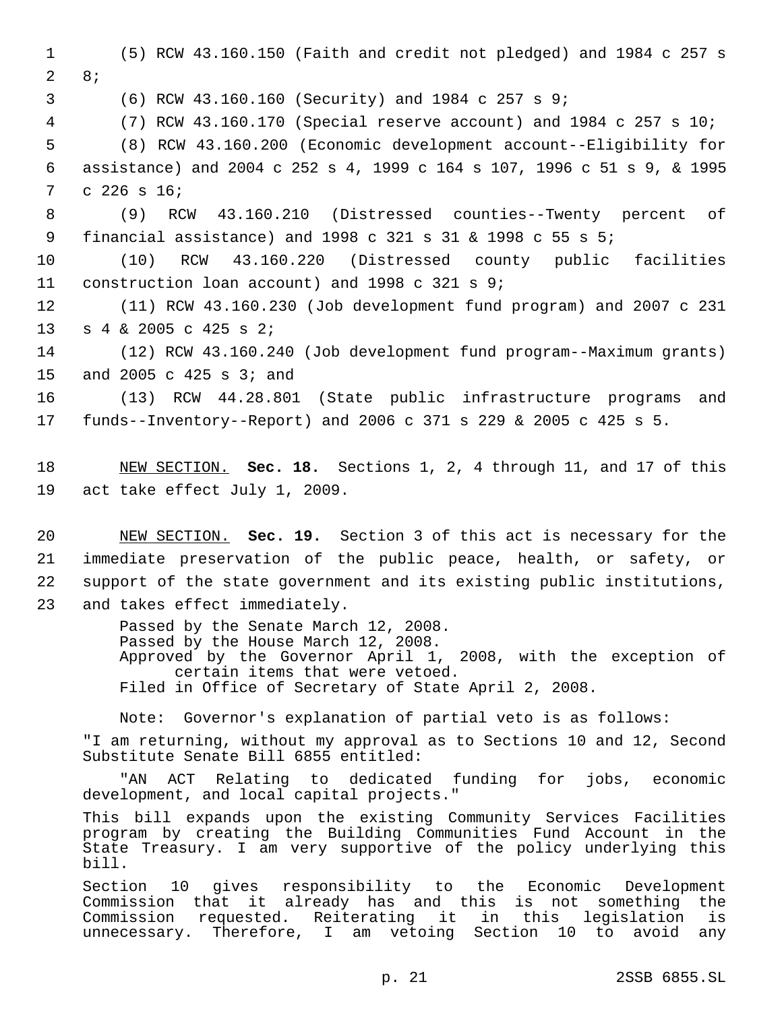1 (5) RCW 43.160.150 (Faith and credit not pledged) and 1984 c 257 s 2 8; 3 (6) RCW 43.160.160 (Security) and 1984 c 257 s 9; 4 (7) RCW 43.160.170 (Special reserve account) and 1984 c 257 s 10; 5 (8) RCW 43.160.200 (Economic development account--Eligibility for 6 assistance) and 2004 c 252 s 4, 1999 c 164 s 107, 1996 c 51 s 9, & 1995 7 c 226 s 16; 8 (9) RCW 43.160.210 (Distressed counties--Twenty percent of 9 financial assistance) and 1998 c 321 s 31 & 1998 c 55 s 5; 10 (10) RCW 43.160.220 (Distressed county public facilities 11 construction loan account) and 1998 c 321 s 9; 12 (11) RCW 43.160.230 (Job development fund program) and 2007 c 231 13 s 4 & 2005 c 425 s 2; 14 (12) RCW 43.160.240 (Job development fund program--Maximum grants) 15 and 2005 c 425 s 3; and 16 (13) RCW 44.28.801 (State public infrastructure programs and 17 funds--Inventory--Report) and 2006 c 371 s 229 & 2005 c 425 s 5. 18 NEW SECTION. **Sec. 18.** Sections 1, 2, 4 through 11, and 17 of this 19 act take effect July 1, 2009. 20 NEW SECTION. **Sec. 19.** Section 3 of this act is necessary for the 21 immediate preservation of the public peace, health, or safety, or 22 support of the state government and its existing public institutions, 23 and takes effect immediately. Passed by the Senate March 12, 2008. Passed by the House March 12, 2008. Approved by the Governor April 1, 2008, with the exception of certain items that were vetoed. Filed in Office of Secretary of State April 2, 2008. Note: Governor's explanation of partial veto is as follows: "I am returning, without my approval as to Sections 10 and 12, Second Substitute Senate Bill 6855 entitled: "AN ACT Relating to dedicated funding for jobs, economic development, and local capital projects." This bill expands upon the existing Community Services Facilities program by creating the Building Communities Fund Account in the State Treasury. I am very supportive of the policy underlying this bill. Section 10 gives responsibility to the Economic Development Commission that it already has and this is not something the Commission requested. Reiterating it in this legislation is unnecessary. Therefore, I am vetoing Section 10 to avoid any